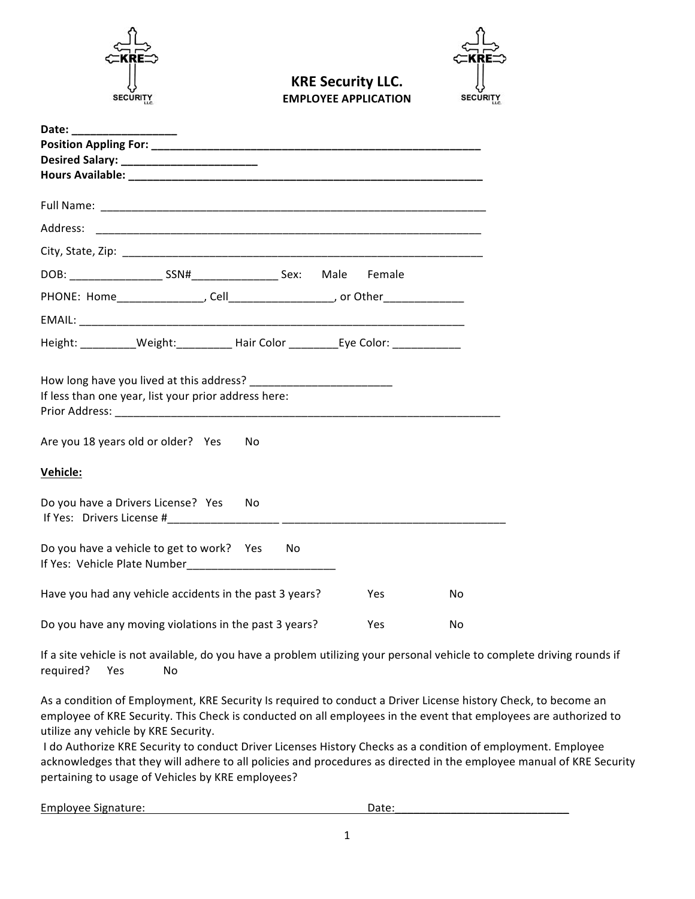

**KRE Security LLC. EMPLOYEE APPLICATION** 

**SECURITY** 

| Date: $\frac{1}{1}$                                                                     |    |     |  |            |    |
|-----------------------------------------------------------------------------------------|----|-----|--|------------|----|
|                                                                                         |    |     |  |            |    |
| Desired Salary: _________________________                                               |    |     |  |            |    |
|                                                                                         |    |     |  |            |    |
|                                                                                         |    |     |  |            |    |
|                                                                                         |    |     |  |            |    |
| Address:                                                                                |    |     |  |            |    |
|                                                                                         |    |     |  |            |    |
|                                                                                         |    |     |  | Female     |    |
| PHONE: Home________________, Cell____________________, or Other________________         |    |     |  |            |    |
|                                                                                         |    |     |  |            |    |
| Height: ___________Weight:_____________Hair Color _____________Eye Color: _____________ |    |     |  |            |    |
| If less than one year, list your prior address here:                                    |    |     |  |            |    |
| Are you 18 years old or older? Yes                                                      | No |     |  |            |    |
| <b>Vehicle:</b>                                                                         |    |     |  |            |    |
| Do you have a Drivers License? Yes                                                      | No |     |  |            |    |
| Do you have a vehicle to get to work? Yes<br>If Yes: Vehicle Plate Number               |    | No. |  |            |    |
| Have you had any vehicle accidents in the past 3 years?                                 |    |     |  | Yes        | No |
| Do you have any moving violations in the past 3 years?                                  |    |     |  | <b>Yes</b> | No |

If a site vehicle is not available, do you have a problem utilizing your personal vehicle to complete driving rounds if required? Yes No

As a condition of Employment, KRE Security Is required to conduct a Driver License history Check, to become an employee of KRE Security. This Check is conducted on all employees in the event that employees are authorized to utilize any vehicle by KRE Security.

I do Authorize KRE Security to conduct Driver Licenses History Checks as a condition of employment. Employee acknowledges that they will adhere to all policies and procedures as directed in the employee manual of KRE Security pertaining to usage of Vehicles by KRE employees?

Employee Signature: **Date:** Date: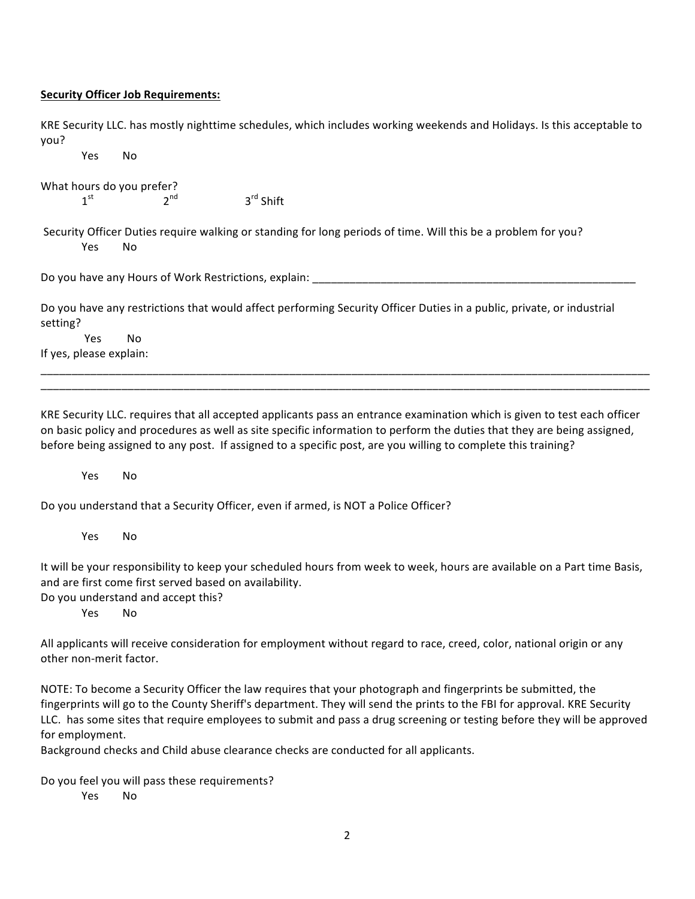#### **Security Officer Job Requirements:**

KRE Security LLC. has mostly nighttime schedules, which includes working weekends and Holidays. Is this acceptable to you?

Yes No 

What hours do you prefer?<br> $1^{st}$  2<sup>nd</sup>

 $3<sup>rd</sup>$  Shift

Security Officer Duties require walking or standing for long periods of time. Will this be a problem for you? Yes No

Do you have any Hours of Work Restrictions, explain: \_

Do you have any restrictions that would affect performing Security Officer Duties in a public, private, or industrial setting? 

Yes No If yes, please explain:

KRE Security LLC. requires that all accepted applicants pass an entrance examination which is given to test each officer on basic policy and procedures as well as site specific information to perform the duties that they are being assigned, before being assigned to any post. If assigned to a specific post, are you willing to complete this training?

\_\_\_\_\_\_\_\_\_\_\_\_\_\_\_\_\_\_\_\_\_\_\_\_\_\_\_\_\_\_\_\_\_\_\_\_\_\_\_\_\_\_\_\_\_\_\_\_\_\_\_\_\_\_\_\_\_\_\_\_\_\_\_\_\_\_\_\_\_\_\_\_\_\_\_\_\_\_\_\_\_\_\_\_\_\_\_\_\_\_\_\_\_\_\_\_\_\_ \_\_\_\_\_\_\_\_\_\_\_\_\_\_\_\_\_\_\_\_\_\_\_\_\_\_\_\_\_\_\_\_\_\_\_\_\_\_\_\_\_\_\_\_\_\_\_\_\_\_\_\_\_\_\_\_\_\_\_\_\_\_\_\_\_\_\_\_\_\_\_\_\_\_\_\_\_\_\_\_\_\_\_\_\_\_\_\_\_\_\_\_\_\_\_\_\_\_

Yes No

Do you understand that a Security Officer, even if armed, is NOT a Police Officer?

Yes No

It will be your responsibility to keep your scheduled hours from week to week, hours are available on a Part time Basis, and are first come first served based on availability.

Do you understand and accept this?

Yes No

All applicants will receive consideration for employment without regard to race, creed, color, national origin or any other non-merit factor.

NOTE: To become a Security Officer the law requires that your photograph and fingerprints be submitted, the fingerprints will go to the County Sheriff's department. They will send the prints to the FBI for approval. KRE Security LLC. has some sites that require employees to submit and pass a drug screening or testing before they will be approved for employment.

Background checks and Child abuse clearance checks are conducted for all applicants.

Do you feel you will pass these requirements?

Yes No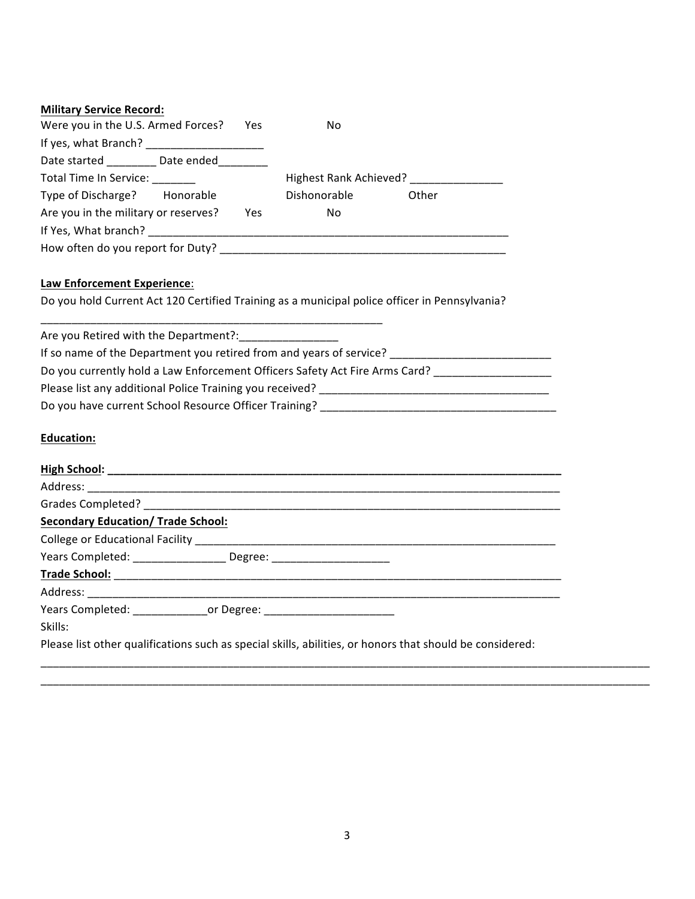| Were you in the U.S. Armed Forces?<br>Yes.                                                                     | No                     |
|----------------------------------------------------------------------------------------------------------------|------------------------|
| If yes, what Branch? [19] [19] Manuson Manuson Manuson Manuson Manuson Manuson Manuson Manuson Manuson Manuson |                        |
| Date started Date ended                                                                                        |                        |
| Total Time In Service:                                                                                         | Highest Rank Achieved? |
| Type of Discharge? Honorable                                                                                   | Dishonorable<br>Other  |
| Are you in the military or reserves?<br>Yes                                                                    | No                     |
| If Yes, What branch?                                                                                           |                        |
| How often do you report for Duty?                                                                              |                        |

# **Law Enforcement Experience:**

Do you hold Current Act 120 Certified Training as a municipal police officer in Pennsylvania?

\_\_\_\_\_\_\_\_\_\_\_\_\_\_\_\_\_\_\_\_\_\_\_\_\_\_\_\_\_\_\_\_\_\_\_\_\_\_\_\_\_\_\_\_\_\_\_\_\_\_\_\_\_\_\_

| Are you Retired with the Department?:                                       |
|-----------------------------------------------------------------------------|
| If so name of the Department you retired from and years of service?         |
| Do you currently hold a Law Enforcement Officers Safety Act Fire Arms Card? |
| Please list any additional Police Training you received?                    |
| Do you have current School Resource Officer Training?                       |

## **Education:**

| <b>Secondary Education/ Trade School:</b> |                                                                                                          |  |
|-------------------------------------------|----------------------------------------------------------------------------------------------------------|--|
|                                           |                                                                                                          |  |
|                                           | Years Completed: _________________ Degree: _______________________                                       |  |
|                                           |                                                                                                          |  |
|                                           |                                                                                                          |  |
|                                           | Years Completed: __________________or Degree: __________________________________                         |  |
| Skills:                                   |                                                                                                          |  |
|                                           | Please list other qualifications such as special skills, abilities, or honors that should be considered: |  |

\_\_\_\_\_\_\_\_\_\_\_\_\_\_\_\_\_\_\_\_\_\_\_\_\_\_\_\_\_\_\_\_\_\_\_\_\_\_\_\_\_\_\_\_\_\_\_\_\_\_\_\_\_\_\_\_\_\_\_\_\_\_\_\_\_\_\_\_\_\_\_\_\_\_\_\_\_\_\_\_\_\_\_\_\_\_\_\_\_\_\_\_\_\_\_\_\_\_ \_\_\_\_\_\_\_\_\_\_\_\_\_\_\_\_\_\_\_\_\_\_\_\_\_\_\_\_\_\_\_\_\_\_\_\_\_\_\_\_\_\_\_\_\_\_\_\_\_\_\_\_\_\_\_\_\_\_\_\_\_\_\_\_\_\_\_\_\_\_\_\_\_\_\_\_\_\_\_\_\_\_\_\_\_\_\_\_\_\_\_\_\_\_\_\_\_\_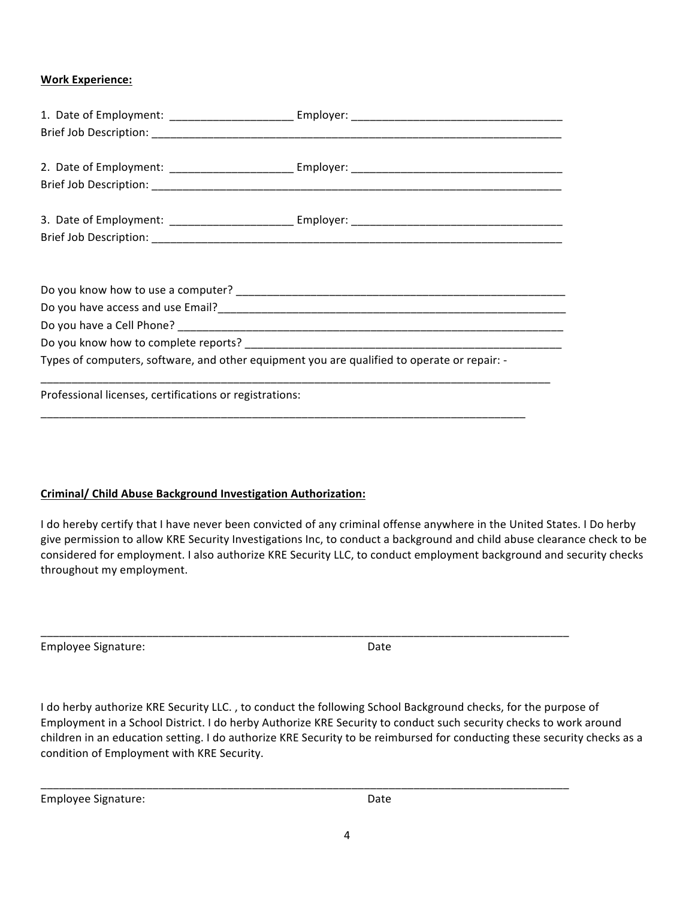### **Work Experience:**

| Types of computers, software, and other equipment you are qualified to operate or repair: - |  |  |  |  |
|---------------------------------------------------------------------------------------------|--|--|--|--|
|                                                                                             |  |  |  |  |
| Professional licenses, certifications or registrations:                                     |  |  |  |  |
|                                                                                             |  |  |  |  |

### **Criminal/ Child Abuse Background Investigation Authorization:**

I do hereby certify that I have never been convicted of any criminal offense anywhere in the United States. I Do herby give permission to allow KRE Security Investigations Inc, to conduct a background and child abuse clearance check to be considered for employment. I also authorize KRE Security LLC, to conduct employment background and security checks throughout my employment.

Employee Signature: Date

I do herby authorize KRE Security LLC., to conduct the following School Background checks, for the purpose of Employment in a School District. I do herby Authorize KRE Security to conduct such security checks to work around children in an education setting. I do authorize KRE Security to be reimbursed for conducting these security checks as a condition of Employment with KRE Security.

\_\_\_\_\_\_\_\_\_\_\_\_\_\_\_\_\_\_\_\_\_\_\_\_\_\_\_\_\_\_\_\_\_\_\_\_\_\_\_\_\_\_\_\_\_\_\_\_\_\_\_\_\_\_\_\_\_\_\_\_\_\_\_\_\_\_\_\_\_\_\_\_\_\_\_\_\_\_\_\_\_\_\_\_\_

\_\_\_\_\_\_\_\_\_\_\_\_\_\_\_\_\_\_\_\_\_\_\_\_\_\_\_\_\_\_\_\_\_\_\_\_\_\_\_\_\_\_\_\_\_\_\_\_\_\_\_\_\_\_\_\_\_\_\_\_\_\_\_\_\_\_\_\_\_\_\_\_\_\_\_\_\_\_\_\_\_\_\_\_\_

Employee Signature: The Contract of the Date of Date